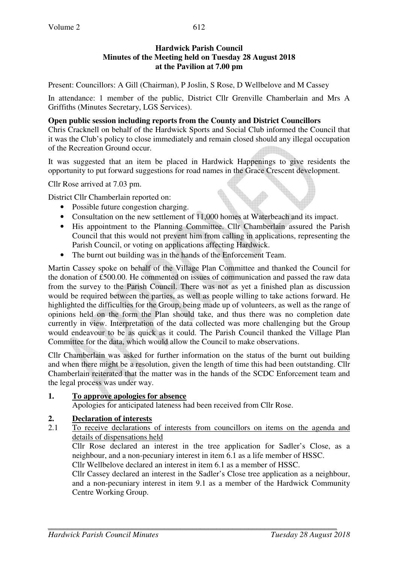## **Hardwick Parish Council Minutes of the Meeting held on Tuesday 28 August 2018 at the Pavilion at 7.00 pm**

Present: Councillors: A Gill (Chairman), P Joslin, S Rose, D Wellbelove and M Cassey

In attendance: 1 member of the public, District Cllr Grenville Chamberlain and Mrs A Griffiths (Minutes Secretary, LGS Services).

#### **Open public session including reports from the County and District Councillors**

Chris Cracknell on behalf of the Hardwick Sports and Social Club informed the Council that it was the Club's policy to close immediately and remain closed should any illegal occupation of the Recreation Ground occur.

It was suggested that an item be placed in Hardwick Happenings to give residents the opportunity to put forward suggestions for road names in the Grace Crescent development.

Cllr Rose arrived at 7.03 pm.

District Cllr Chamberlain reported on:

- Possible future congestion charging.
- Consultation on the new settlement of 11,000 homes at Waterbeach and its impact.
- His appointment to the Planning Committee. Cllr Chamberlain assured the Parish Council that this would not prevent him from calling in applications, representing the Parish Council, or voting on applications affecting Hardwick.
- The burnt out building was in the hands of the Enforcement Team.

Martin Cassey spoke on behalf of the Village Plan Committee and thanked the Council for the donation of £500.00. He commented on issues of communication and passed the raw data from the survey to the Parish Council. There was not as yet a finished plan as discussion would be required between the parties, as well as people willing to take actions forward. He highlighted the difficulties for the Group, being made up of volunteers, as well as the range of opinions held on the form the Plan should take, and thus there was no completion date currently in view. Interpretation of the data collected was more challenging but the Group would endeavour to be as quick as it could. The Parish Council thanked the Village Plan Committee for the data, which would allow the Council to make observations.

Cllr Chamberlain was asked for further information on the status of the burnt out building and when there might be a resolution, given the length of time this had been outstanding. Cllr Chamberlain reiterated that the matter was in the hands of the SCDC Enforcement team and the legal process was under way.

#### **1. To approve apologies for absence**

Apologies for anticipated lateness had been received from Cllr Rose.

## **2. Declaration of interests**<br>2.1 To receive declarations

2.1 To receive declarations of interests from councillors on items on the agenda and details of dispensations held

Cllr Rose declared an interest in the tree application for Sadler's Close, as a neighbour, and a non-pecuniary interest in item 6.1 as a life member of HSSC.

Cllr Wellbelove declared an interest in item 6.1 as a member of HSSC.

Cllr Cassey declared an interest in the Sadler's Close tree application as a neighbour, and a non-pecuniary interest in item 9.1 as a member of the Hardwick Community Centre Working Group.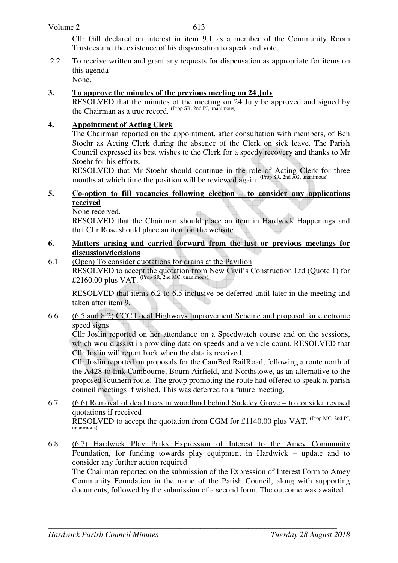#### Volume 2

Cllr Gill declared an interest in item 9.1 as a member of the Community Room Trustees and the existence of his dispensation to speak and vote.

2.2 To receive written and grant any requests for dispensation as appropriate for items on this agenda None.

#### **3. To approve the minutes of the previous meeting on 24 July**

RESOLVED that the minutes of the meeting on 24 July be approved and signed by the Chairman as a true record. (Prop SR, 2nd PJ, unanimous)

### **4. Appointment of Acting Clerk**

 The Chairman reported on the appointment, after consultation with members, of Ben Stoehr as Acting Clerk during the absence of the Clerk on sick leave. The Parish Council expressed its best wishes to the Clerk for a speedy recovery and thanks to Mr Stoehr for his efforts.

 RESOLVED that Mr Stoehr should continue in the role of Acting Clerk for three months at which time the position will be reviewed again. <sup>(Prop SR, 2nd AG, unanimous)</sup>

#### **5. Co-option to fill vacancies following election – to consider any applications received**

None received.

 RESOLVED that the Chairman should place an item in Hardwick Happenings and that Cllr Rose should place an item on the website.

#### **6. Matters arising and carried forward from the last or previous meetings for discussion/decisions**

6.1 (Open) To consider quotations for drains at the Pavilion RESOLVED to accept the quotation from New Civil's Construction Ltd (Quote 1) for  $£2160.00$  plus VAT. <sup>(Prop SR, 2nd MC, unanimous)</sup>

 RESOLVED that items 6.2 to 6.5 inclusive be deferred until later in the meeting and taken after item 9.

6.6 (6.5 and 8.2) CCC Local Highways Improvement Scheme and proposal for electronic speed signs

Cllr Joslin reported on her attendance on a Speedwatch course and on the sessions, which would assist in providing data on speeds and a vehicle count. RESOLVED that Cllr Joslin will report back when the data is received.

Cllr Joslin reported on proposals for the CamBed RailRoad, following a route north of the A428 to link Cambourne, Bourn Airfield, and Northstowe, as an alternative to the proposed southern route. The group promoting the route had offered to speak at parish council meetings if wished. This was deferred to a future meeting.

- 6.7 (6.6) Removal of dead trees in woodland behind Sudeley Grove to consider revised quotations if received RESOLVED to accept the quotation from CGM for £1140.00 plus VAT. (Prop MC, 2nd PJ, unanimous)
- 6.8 (6.7) Hardwick Play Parks Expression of Interest to the Amey Community Foundation, for funding towards play equipment in Hardwick – update and to consider any further action required

 The Chairman reported on the submission of the Expression of Interest Form to Amey Community Foundation in the name of the Parish Council, along with supporting documents, followed by the submission of a second form. The outcome was awaited.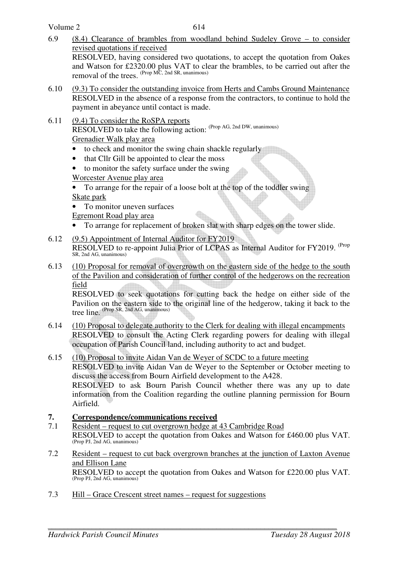Volume 2

- 6.9 (8.4) Clearance of brambles from woodland behind Sudeley Grove to consider revised quotations if received RESOLVED, having considered two quotations, to accept the quotation from Oakes and Watson for £2320.00 plus VAT to clear the brambles, to be carried out after the removal of the trees. (Prop MC, 2nd SR, unanimous)
- 6.10 (9.3) To consider the outstanding invoice from Herts and Cambs Ground Maintenance RESOLVED in the absence of a response from the contractors, to continue to hold the payment in abeyance until contact is made.
- 6.11 (9.4) To consider the RoSPA reports RESOLVED to take the following action: (Prop AG, 2nd DW, unanimous) Grenadier Walk play area
	- to check and monitor the swing chain shackle regularly
	- that Cllr Gill be appointed to clear the moss
	- to monitor the safety surface under the swing

Worcester Avenue play area

• To arrange for the repair of a loose bolt at the top of the toddler swing

Skate park

• To monitor uneven surfaces

Egremont Road play area

- To arrange for replacement of broken slat with sharp edges on the tower slide.
- 6.12 (9.5) Appointment of Internal Auditor for FY2019 RESOLVED to re-appoint Julia Prior of LCPAS as Internal Auditor for FY2019. <sup>(Prop</sup> SR, 2nd AG, unanimous)
- 6.13 (10) Proposal for removal of overgrowth on the eastern side of the hedge to the south of the Pavilion and consideration of further control of the hedgerows on the recreation field

RESOLVED to seek quotations for cutting back the hedge on either side of the Pavilion on the eastern side to the original line of the hedgerow, taking it back to the tree line. (Prop SR, 2nd AG, unanimous)

- 6.14 (10) Proposal to delegate authority to the Clerk for dealing with illegal encampments RESOLVED to consult the Acting Clerk regarding powers for dealing with illegal occupation of Parish Council land, including authority to act and budget.
- 6.15 (10) Proposal to invite Aidan Van de Weyer of SCDC to a future meeting RESOLVED to invite Aidan Van de Weyer to the September or October meeting to discuss the access from Bourn Airfield development to the A428. RESOLVED to ask Bourn Parish Council whether there was any up to date information from the Coalition regarding the outline planning permission for Bourn Airfield.

## **7. Correspondence/communications received**

- 7.1 Resident request to cut overgrown hedge at 43 Cambridge Road RESOLVED to accept the quotation from Oakes and Watson for £460.00 plus VAT. (Prop PJ, 2nd AG, unanimous)
- 7.2 Resident request to cut back overgrown branches at the junction of Laxton Avenue and Ellison Lane RESOLVED to accept the quotation from Oakes and Watson for £220.00 plus VAT. (Prop PJ, 2nd AG, unanimous)
- 7.3 Hill Grace Crescent street names request for suggestions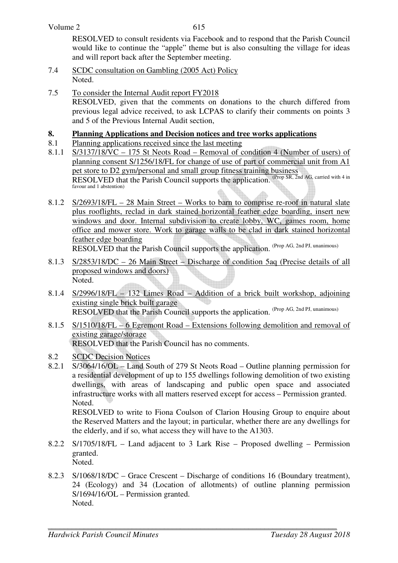615

RESOLVED to consult residents via Facebook and to respond that the Parish Council would like to continue the "apple" theme but is also consulting the village for ideas and will report back after the September meeting.

- 7.4 SCDC consultation on Gambling (2005 Act) Policy Noted.
- 7.5 To consider the Internal Audit report FY2018 RESOLVED, given that the comments on donations to the church differed from previous legal advice received, to ask LCPAS to clarify their comments on points 3 and 5 of the Previous Internal Audit section,

# **8. Planning Applications and Decision notices and tree works applications**<br>8.1 Planning applications received since the last meeting

- Planning applications received since the last meeting
- 8.1.1 S/3137/18/VC 175 St Neots Road Removal of condition 4 (Number of users) of planning consent S/1256/18/FL for change of use of part of commercial unit from A1 pet store to D2 gym/personal and small group fitness training business RESOLVED that the Parish Council supports the application. (Prop SR, 2nd AG, carried with 4 in favour and 1 abstention)
- 8.1.2 S/2693/18/FL 28 Main Street Works to barn to comprise re-roof in natural slate plus rooflights, reclad in dark stained horizontal feather edge boarding, insert new windows and door. Internal subdivision to create lobby, WC, games room, home office and mower store. Work to garage walls to be clad in dark stained horizontal feather edge boarding RESOLVED that the Parish Council supports the application. (Prop AG, 2nd PJ, unanimous)
- 8.1.3 S/2853/18/DC 26 Main Street Discharge of condition 5aq (Precise details of all proposed windows and doors) Noted.
- 8.1.4 S/2996/18/FL 132 Limes Road Addition of a brick built workshop, adjoining existing single brick built garage RESOLVED that the Parish Council supports the application. (Prop AG, 2nd PJ, unanimous)
- 8.1.5 S/1510/18/FL 6 Egremont Road Extensions following demolition and removal of existing garage/storage RESOLVED that the Parish Council has no comments.
- 8.2 SCDC Decision Notices
- 8.2.1 S/3064/16/OL Land South of 279 St Neots Road Outline planning permission for a residential development of up to 155 dwellings following demolition of two existing dwellings, with areas of landscaping and public open space and associated infrastructure works with all matters reserved except for access – Permission granted. Noted.

 RESOLVED to write to Fiona Coulson of Clarion Housing Group to enquire about the Reserved Matters and the layout; in particular, whether there are any dwellings for the elderly, and if so, what access they will have to the A1303.

- 8.2.2 S/1705/18/FL Land adjacent to 3 Lark Rise Proposed dwelling Permission granted. Noted.
- 8.2.3 S/1068/18/DC Grace Crescent Discharge of conditions 16 (Boundary treatment), 24 (Ecology) and 34 (Location of allotments) of outline planning permission S/1694/16/OL – Permission granted. Noted.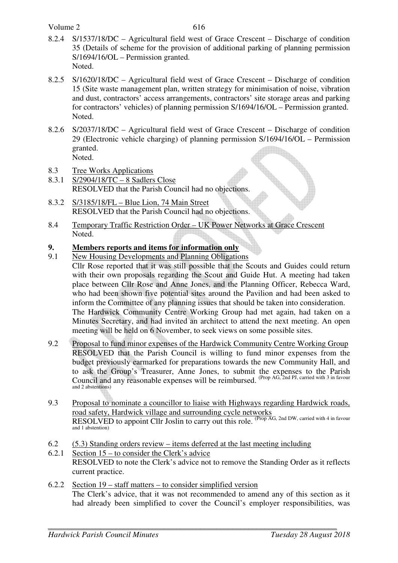- 8.2.4 S/1537/18/DC Agricultural field west of Grace Crescent Discharge of condition 35 (Details of scheme for the provision of additional parking of planning permission S/1694/16/OL – Permission granted. Noted.
- 8.2.5 S/1620/18/DC Agricultural field west of Grace Crescent Discharge of condition 15 (Site waste management plan, written strategy for minimisation of noise, vibration and dust, contractors' access arrangements, contractors' site storage areas and parking for contractors' vehicles) of planning permission S/1694/16/OL – Permission granted. Noted.
- 8.2.6 S/2037/18/DC Agricultural field west of Grace Crescent Discharge of condition 29 (Electronic vehicle charging) of planning permission S/1694/16/OL – Permission granted. Noted.
- 8.3 Tree Works Applications
- 8.3.1 S/2904/18/TC 8 Sadlers Close RESOLVED that the Parish Council had no objections.
- 8.3.2 S/3185/18/FL Blue Lion, 74 Main Street RESOLVED that the Parish Council had no objections.
- 8.4 Temporary Traffic Restriction Order UK Power Networks at Grace Crescent Noted.

## **9. Members reports and items for information only**

- 9.1 New Housing Developments and Planning Obligations Cllr Rose reported that it was still possible that the Scouts and Guides could return with their own proposals regarding the Scout and Guide Hut. A meeting had taken place between Cllr Rose and Anne Jones, and the Planning Officer, Rebecca Ward, who had been shown five potential sites around the Pavilion and had been asked to inform the Committee of any planning issues that should be taken into consideration. The Hardwick Community Centre Working Group had met again, had taken on a Minutes Secretary, and had invited an architect to attend the next meeting. An open meeting will be held on 6 November, to seek views on some possible sites.
- 9.2 Proposal to fund minor expenses of the Hardwick Community Centre Working Group RESOLVED that the Parish Council is willing to fund minor expenses from the budget previously earmarked for preparations towards the new Community Hall, and to ask the Group's Treasurer, Anne Jones, to submit the expenses to the Parish Council and any reasonable expenses will be reimbursed. (Prop AG, 2nd PJ, carried with 3 in favour and 2 abstentions)
- 9.3 Proposal to nominate a councillor to liaise with Highways regarding Hardwick roads, road safety, Hardwick village and surrounding cycle networks RESOLVED to appoint Cllr Joslin to carry out this role. (Prop AG, 2nd DW, carried with 4 in favour and 1 abstention)
- 6.2 (5.3) Standing orders review items deferred at the last meeting including
- 6.2.1 Section 15 to consider the Clerk's advice RESOLVED to note the Clerk's advice not to remove the Standing Order as it reflects current practice.
- 6.2.2 Section 19 staff matters to consider simplified version The Clerk's advice, that it was not recommended to amend any of this section as it had already been simplified to cover the Council's employer responsibilities, was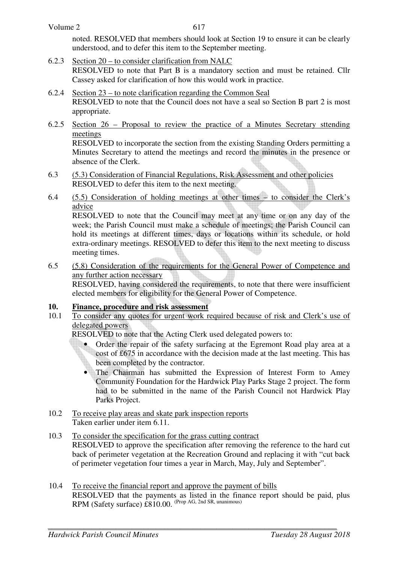noted. RESOLVED that members should look at Section 19 to ensure it can be clearly understood, and to defer this item to the September meeting.

- 6.2.3 Section 20 to consider clarification from NALC RESOLVED to note that Part B is a mandatory section and must be retained. Cllr Cassey asked for clarification of how this would work in practice.
- 6.2.4 Section 23 to note clarification regarding the Common Seal RESOLVED to note that the Council does not have a seal so Section B part 2 is most appropriate.
- 6.2.5 Section 26 Proposal to review the practice of a Minutes Secretary sttending meetings

RESOLVED to incorporate the section from the existing Standing Orders permitting a Minutes Secretary to attend the meetings and record the minutes in the presence or absence of the Clerk.

- 6.3 (5.3) Consideration of Financial Regulations, Risk Assessment and other policies RESOLVED to defer this item to the next meeting.
- 6.4 (5.5) Consideration of holding meetings at other times to consider the Clerk's advice

RESOLVED to note that the Council may meet at any time or on any day of the week; the Parish Council must make a schedule of meetings; the Parish Council can hold its meetings at different times, days or locations within its schedule, or hold extra-ordinary meetings. RESOLVED to defer this item to the next meeting to discuss meeting times.

6.5 (5.8) Consideration of the requirements for the General Power of Competence and any further action necessary

 RESOLVED, having considered the requirements, to note that there were insufficient elected members for eligibility for the General Power of Competence.

## **10. Finance, procedure and risk assessment**

10.1 To consider any quotes for urgent work required because of risk and Clerk's use of delegated powers

RESOLVED to note that the Acting Clerk used delegated powers to:

• Order the repair of the safety surfacing at the Egremont Road play area at a cost of £675 in accordance with the decision made at the last meeting. This has been completed by the contractor.

The Chairman has submitted the Expression of Interest Form to Amey Community Foundation for the Hardwick Play Parks Stage 2 project. The form had to be submitted in the name of the Parish Council not Hardwick Play Parks Project.

10.2 To receive play areas and skate park inspection reports Taken earlier under item 6.11.

#### 10.3 To consider the specification for the grass cutting contract RESOLVED to approve the specification after removing the reference to the hard cut back of perimeter vegetation at the Recreation Ground and replacing it with "cut back of perimeter vegetation four times a year in March, May, July and September".

10.4 To receive the financial report and approve the payment of bills RESOLVED that the payments as listed in the finance report should be paid, plus RPM (Safety surface) £810.00. (Prop AG, 2nd SR, unanimous)